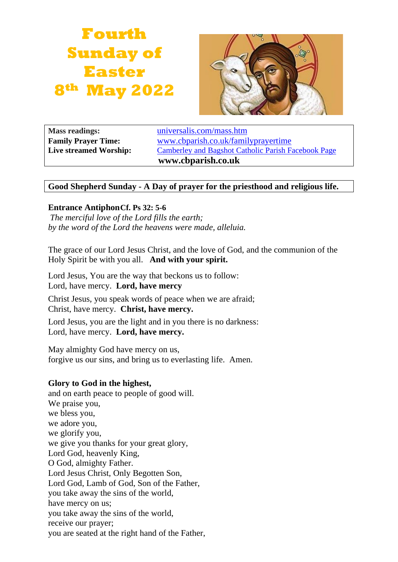# **Fourth Sunday of Easter 8th May 2022**



**Mass readings:** [universalis.com/mass.htm](https://universalis.com/mass.htm) **Family Prayer Time:** www.cbparish.co.uk/familyprayertime **Live streamed Worship:** [Camberley and Bagshot Catholic Parish Facebook Page](https://www.facebook.com/Camberley-Bagshot-Catholic-Parish-102099478101801/) **www.cbparish.co.uk**

# **Good Shepherd Sunday - A Day of prayer for the priesthood and religious life.**

#### **Entrance AntiphonCf. Ps 32: 5-6**

*The merciful love of the Lord fills the earth; by the word of the Lord the heavens were made, alleluia.*

The grace of our Lord Jesus Christ, and the love of God, and the communion of the Holy Spirit be with you all. **And with your spirit.**

Lord Jesus, You are the way that beckons us to follow: Lord, have mercy. **Lord, have mercy**

Christ Jesus, you speak words of peace when we are afraid; Christ, have mercy. **Christ, have mercy.**

Lord Jesus, you are the light and in you there is no darkness: Lord, have mercy. **Lord, have mercy.**

May almighty God have mercy on us, forgive us our sins, and bring us to everlasting life. Amen.

#### **Glory to God in the highest,**

and on earth peace to people of good will. We praise you, we bless you, we adore you, we glorify you, we give you thanks for your great glory, Lord God, heavenly King, O God, almighty Father. Lord Jesus Christ, Only Begotten Son, Lord God, Lamb of God, Son of the Father, you take away the sins of the world, have mercy on us; you take away the sins of the world, receive our prayer; you are seated at the right hand of the Father,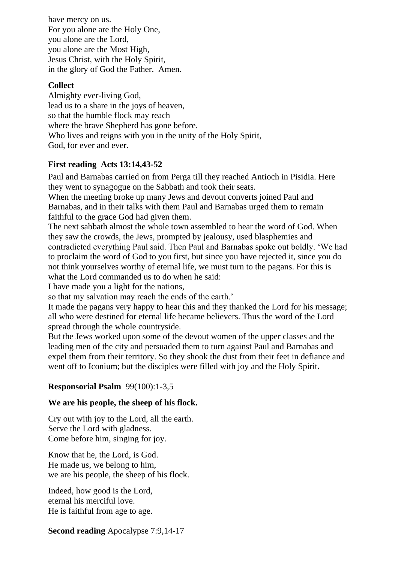have mercy on us. For you alone are the Holy One, you alone are the Lord, you alone are the Most High, Jesus Christ, with the Holy Spirit, in the glory of God the Father. Amen.

# **Collect**

Almighty ever-living God, lead us to a share in the joys of heaven, so that the humble flock may reach where the brave Shepherd has gone before. Who lives and reigns with you in the unity of the Holy Spirit. God, for ever and ever.

# **First reading Acts 13:14,43-52**

Paul and Barnabas carried on from Perga till they reached Antioch in Pisidia. Here they went to synagogue on the Sabbath and took their seats.

When the meeting broke up many Jews and devout converts joined Paul and Barnabas, and in their talks with them Paul and Barnabas urged them to remain faithful to the grace God had given them.

The next sabbath almost the whole town assembled to hear the word of God. When they saw the crowds, the Jews, prompted by jealousy, used blasphemies and contradicted everything Paul said. Then Paul and Barnabas spoke out boldly. 'We had to proclaim the word of God to you first, but since you have rejected it, since you do not think yourselves worthy of eternal life, we must turn to the pagans. For this is what the Lord commanded us to do when he said:

I have made you a light for the nations,

so that my salvation may reach the ends of the earth.'

It made the pagans very happy to hear this and they thanked the Lord for his message; all who were destined for eternal life became believers. Thus the word of the Lord spread through the whole countryside.

But the Jews worked upon some of the devout women of the upper classes and the leading men of the city and persuaded them to turn against Paul and Barnabas and expel them from their territory. So they shook the dust from their feet in defiance and went off to Iconium; but the disciples were filled with joy and the Holy Spirit**.**

# **Responsorial Psalm** 99(100):1-3,5

#### **We are his people, the sheep of his flock.**

Cry out with joy to the Lord, all the earth. Serve the Lord with gladness. Come before him, singing for joy.

Know that he, the Lord, is God. He made us, we belong to him, we are his people, the sheep of his flock.

Indeed, how good is the Lord, eternal his merciful love. He is faithful from age to age.

**Second reading** Apocalypse 7:9,14-17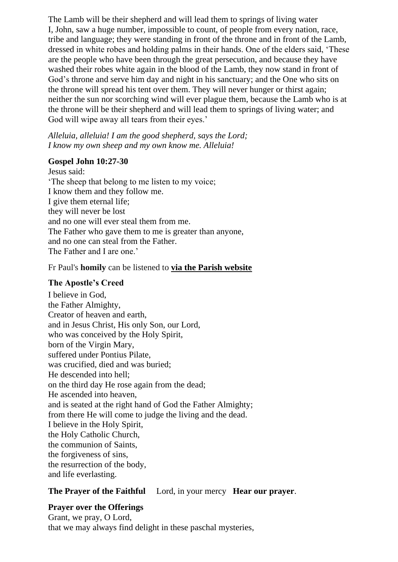The Lamb will be their shepherd and will lead them to springs of living water I, John, saw a huge number, impossible to count, of people from every nation, race, tribe and language; they were standing in front of the throne and in front of the Lamb, dressed in white robes and holding palms in their hands. One of the elders said, 'These are the people who have been through the great persecution, and because they have washed their robes white again in the blood of the Lamb, they now stand in front of God's throne and serve him day and night in his sanctuary; and the One who sits on the throne will spread his tent over them. They will never hunger or thirst again; neither the sun nor scorching wind will ever plague them, because the Lamb who is at the throne will be their shepherd and will lead them to springs of living water; and God will wipe away all tears from their eyes.'

*Alleluia, alleluia! I am the good shepherd, says the Lord; I know my own sheep and my own know me. Alleluia!*

#### **Gospel John 10:27-30**

Jesus said: 'The sheep that belong to me listen to my voice; I know them and they follow me. I give them eternal life; they will never be lost and no one will ever steal them from me. The Father who gave them to me is greater than anyone, and no one can steal from the Father. The Father and I are one.'

Fr Paul's **homily** can be listened to **via the Parish [website](https://www.cbparish.co.uk/homilies)**

# **The Apostle's Creed**

I believe in God, the Father Almighty, Creator of heaven and earth, and in Jesus Christ, His only Son, our Lord, who was conceived by the Holy Spirit, born of the Virgin Mary, suffered under Pontius Pilate, was crucified, died and was buried; He descended into hell; on the third day He rose again from the dead; He ascended into heaven, and is seated at the right hand of God the Father Almighty; from there He will come to judge the living and the dead. I believe in the Holy Spirit, the Holy Catholic Church, the communion of Saints, the forgiveness of sins, the resurrection of the body, and life everlasting.

# **The Prayer of the Faithful** Lord, in your mercy **Hear our prayer**.

# **Prayer over the Offerings**

Grant, we pray, O Lord, that we may always find delight in these paschal mysteries,